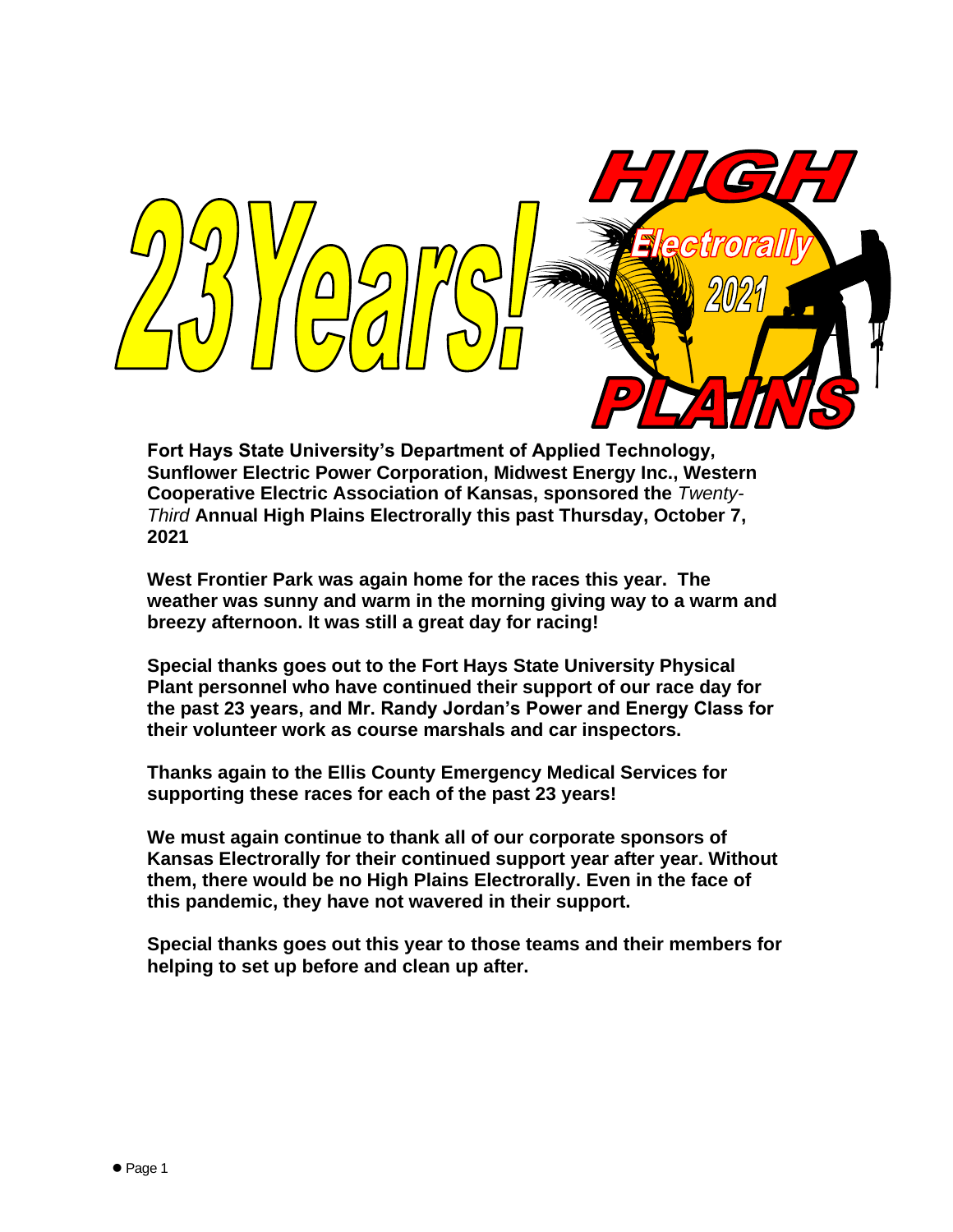

**Fort Hays State University's Department of Applied Technology, Sunflower Electric Power Corporation, Midwest Energy Inc., Western Cooperative Electric Association of Kansas, sponsored the** *Twenty-Third* **Annual High Plains Electrorally this past Thursday, October 7, 2021**

**West Frontier Park was again home for the races this year. The weather was sunny and warm in the morning giving way to a warm and breezy afternoon. It was still a great day for racing!** 

**Special thanks goes out to the Fort Hays State University Physical Plant personnel who have continued their support of our race day for the past 23 years, and Mr. Randy Jordan's Power and Energy Class for their volunteer work as course marshals and car inspectors.**

**Thanks again to the Ellis County Emergency Medical Services for supporting these races for each of the past 23 years!**

**We must again continue to thank all of our corporate sponsors of Kansas Electrorally for their continued support year after year. Without them, there would be no High Plains Electrorally. Even in the face of this pandemic, they have not wavered in their support.**

**Special thanks goes out this year to those teams and their members for helping to set up before and clean up after.**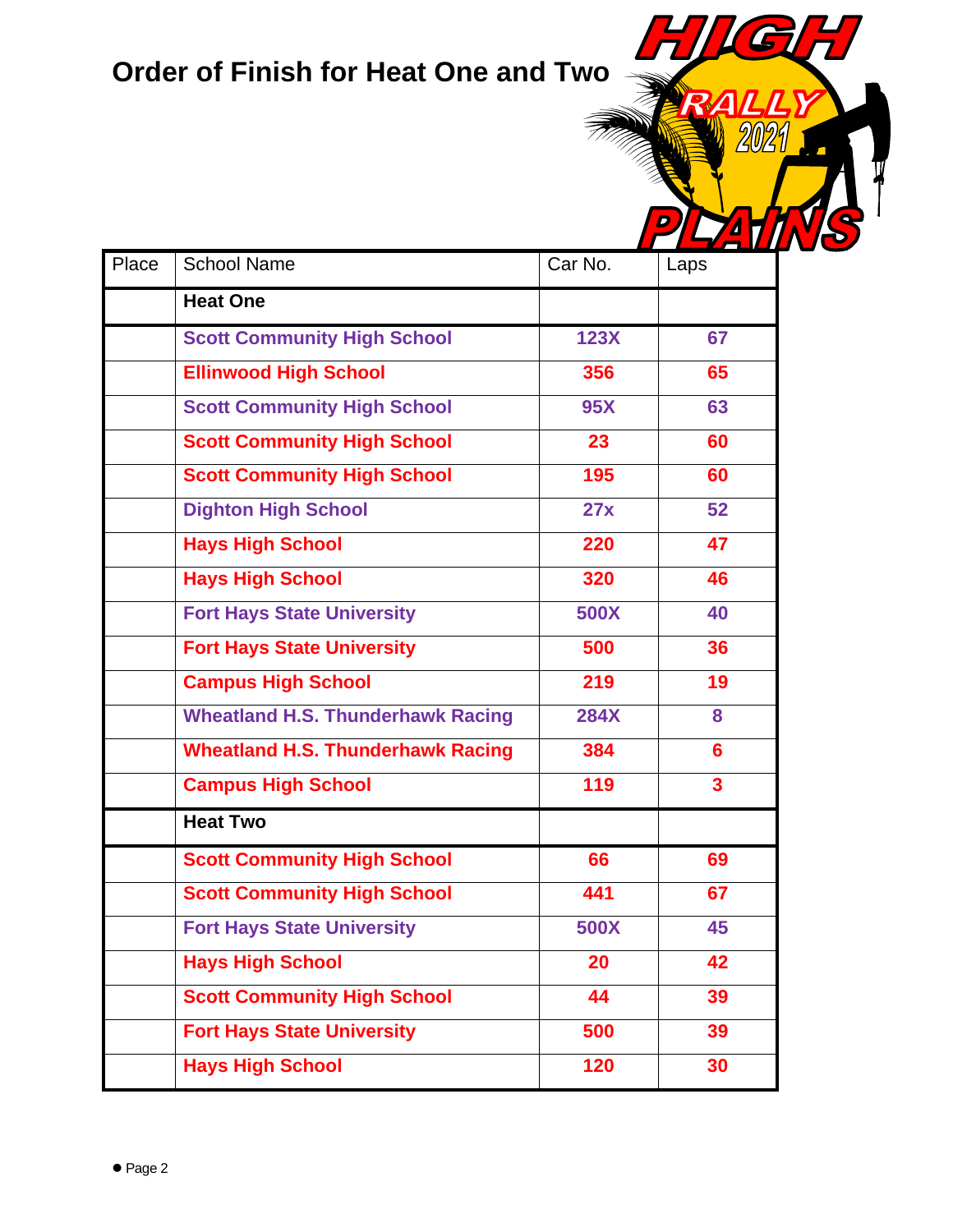## **Order of Finish for Heat One and Two**

G

9)

 $\boldsymbol{\Lambda}$ 

 $\mathbf{z}$ 

|       |                                          |             | le al III de la provincia del provincia del provincia del provincia del provincia del provincia del provincia |
|-------|------------------------------------------|-------------|---------------------------------------------------------------------------------------------------------------|
| Place | <b>School Name</b>                       | Car No.     | Laps                                                                                                          |
|       | <b>Heat One</b>                          |             |                                                                                                               |
|       | <b>Scott Community High School</b>       | 123X        | 67                                                                                                            |
|       | <b>Ellinwood High School</b>             | 356         | 65                                                                                                            |
|       | <b>Scott Community High School</b>       | <b>95X</b>  | 63                                                                                                            |
|       | <b>Scott Community High School</b>       | 23          | 60                                                                                                            |
|       | <b>Scott Community High School</b>       | 195         | 60                                                                                                            |
|       | <b>Dighton High School</b>               | 27x         | 52                                                                                                            |
|       | <b>Hays High School</b>                  | 220         | 47                                                                                                            |
|       | <b>Hays High School</b>                  | 320         | 46                                                                                                            |
|       | <b>Fort Hays State University</b>        | <b>500X</b> | 40                                                                                                            |
|       | <b>Fort Hays State University</b>        | 500         | 36                                                                                                            |
|       | <b>Campus High School</b>                | 219         | 19                                                                                                            |
|       | <b>Wheatland H.S. Thunderhawk Racing</b> | <b>284X</b> | 8                                                                                                             |
|       | <b>Wheatland H.S. Thunderhawk Racing</b> | 384         | 6                                                                                                             |
|       | <b>Campus High School</b>                | 119         | 3                                                                                                             |
|       | <b>Heat Two</b>                          |             |                                                                                                               |
|       | <b>Scott Community High School</b>       | 66          | 69                                                                                                            |
|       | <b>Scott Community High School</b>       | 441         | 67                                                                                                            |
|       | <b>Fort Hays State University</b>        | <b>500X</b> | 45                                                                                                            |
|       | <b>Hays High School</b>                  | 20          | 42                                                                                                            |
|       | <b>Scott Community High School</b>       | 44          | 39                                                                                                            |
|       | <b>Fort Hays State University</b>        | 500         | 39                                                                                                            |
|       | <b>Hays High School</b>                  | 120         | 30                                                                                                            |